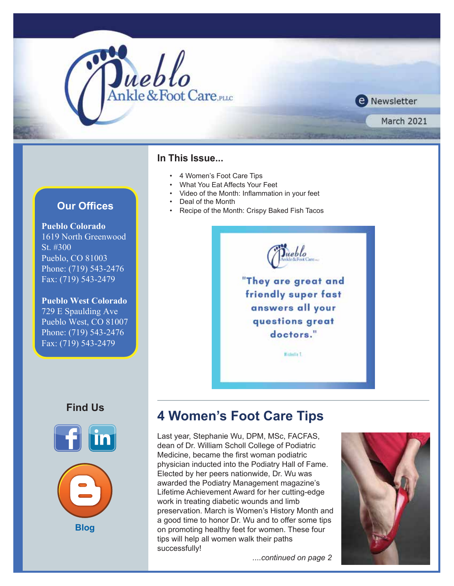

**Pueblo Colorado** 1619 North Greenwood St. #300 Pueblo, CO 81003 Phone: (719) 543-2476 Fax: (719) 543-2479

**Pueblo West Colorado** 729 E Spaulding Ave Pueblo West, CO 81007 Phone: (719) 543-2476 Fax: (719) 543-2479

### **Find Us**





### **In This Issue...**

- 4 Women's Foot Care Tips
- What You Eat Affects Your Feet
- Video of the Month: Inflammation in your feet
- **Our Offices COURTY PERMIT COURTS COURTS** 
	- Recipe of the Month: Crispy Baked Fish Tacos



"They are great and friendly super fast answers all your questions great doctors."

**Michella T.** 

# **4 Women's Foot Care Tips**

Last year, Stephanie Wu, DPM, MSc, FACFAS, dean of Dr. William Scholl College of Podiatric Medicine, became the first woman podiatric physician inducted into the Podiatry Hall of Fame. Elected by her peers nationwide, Dr. Wu was awarded the Podiatry Management magazine's Lifetime Achievement Award for her cutting-edge work in treating diabetic wounds and limb preservation. March is Women's History Month and a good time to honor Dr. Wu and to offer some tips on promoting healthy feet for women. These four tips will help all women walk their paths successfully!

**O** Newsletter

**March 2021** 

 *....continued on page 2*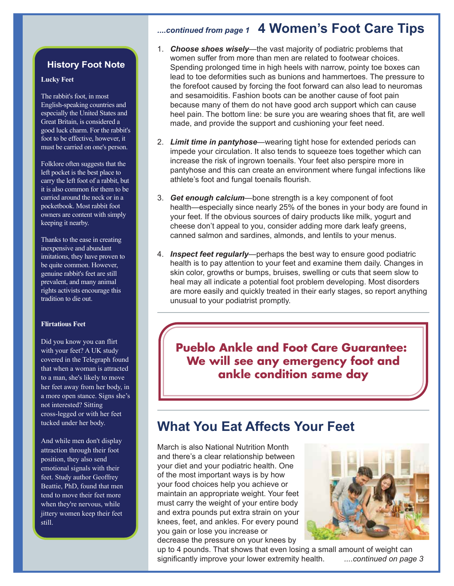# *....continued from page 1* **4 Women's Foot Care Tips**

### **History Foot Note**

#### **Lucky Feet**

The rabbit's foot, in most English-speaking countries and especially the United States and Great Britain, is considered a good luck charm. For the rabbit's foot to be effective, however, it must be carried on one's person.

Folklore often suggests that the left pocket is the best place to carry the left foot of a rabbit, but it is also common for them to be carried around the neck or in a pocketbook. Most rabbit foot owners are content with simply keeping it nearby.

Thanks to the ease in creating inexpensive and abundant imitations, they have proven to be quite common. However, genuine rabbit's feet are still prevalent, and many animal rights activists encourage this tradition to die out.

#### **Flirtatious Feet**

Did you know you can flirt with your feet? A UK study covered in the Telegraph found that when a woman is attracted to a man, she's likely to move her feet away from her body, in a more open stance. Signs she's not interested? Sitting cross-legged or with her feet tucked under her body.

And while men don't display attraction through their foot position, they also send emotional signals with their feet. Study author Geoffrey Beattie, PhD, found that men tend to move their feet more when they're nervous, while jittery women keep their feet still.

- 1. *Choose shoes wisely*—the vast majority of podiatric problems that women suffer from more than men are related to footwear choices. Spending prolonged time in high heels with narrow, pointy toe boxes can lead to toe deformities such as bunions and hammertoes. The pressure to the forefoot caused by forcing the foot forward can also lead to neuromas and sesamoiditis. Fashion boots can be another cause of foot pain because many of them do not have good arch support which can cause heel pain. The bottom line: be sure you are wearing shoes that fit, are well made, and provide the support and cushioning your feet need.
- 2. *Limit time in pantyhose*—wearing tight hose for extended periods can impede your circulation. It also tends to squeeze toes together which can increase the risk of ingrown toenails. Your feet also perspire more in pantyhose and this can create an environment where fungal infections like athlete's foot and fungal toenails flourish.
- 3. *Get enough calcium*—bone strength is a key component of foot health—especially since nearly 25% of the bones in your body are found in your feet. If the obvious sources of dairy products like milk, yogurt and cheese don't appeal to you, consider adding more dark leafy greens, canned salmon and sardines, almonds, and lentils to your menus.
- 4. *Inspect feet regularly*—perhaps the best way to ensure good podiatric health is to pay attention to your feet and examine them daily. Changes in skin color, growths or bumps, bruises, swelling or cuts that seem slow to heal may all indicate a potential foot problem developing. Most disorders are more easily and quickly treated in their early stages, so report anything unusual to your podiatrist promptly.

**Pueblo Ankle and Foot Care Guarantee: We will see any emergency foot and ankle condition same day**

# **What You Eat Affects Your Feet**

March is also National Nutrition Month and there's a clear relationship between your diet and your podiatric health. One of the most important ways is by how your food choices help you achieve or maintain an appropriate weight. Your feet must carry the weight of your entire body and extra pounds put extra strain on your knees, feet, and ankles. For every pound you gain or lose you increase or decrease the pressure on your knees by



up to 4 pounds. That shows that even losing a small amount of weight can significantly improve your lower extremity health. *....continued on page 3*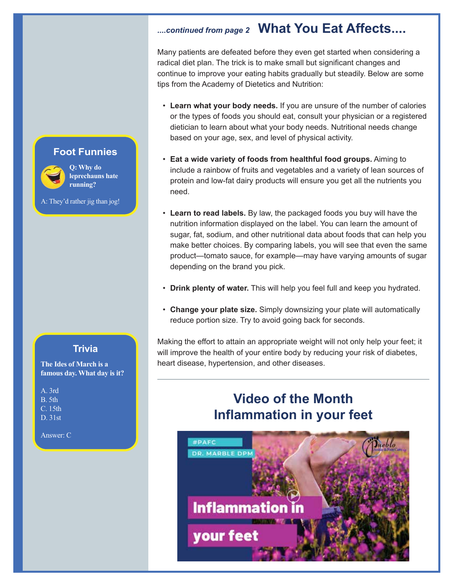# *....continued from page 2* **What You Eat Affects....**

Many patients are defeated before they even get started when considering a radical diet plan. The trick is to make small but significant changes and continue to improve your eating habits gradually but steadily. Below are some tips from the Academy of Dietetics and Nutrition:

- **Learn what your body needs.** If you are unsure of the number of calories or the types of foods you should eat, consult your physician or a registered dietician to learn about what your body needs. Nutritional needs change based on your age, sex, and level of physical activity.
- **Eat a wide variety of foods from healthful food groups.** Aiming to include a rainbow of fruits and vegetables and a variety of lean sources of protein and low-fat dairy products will ensure you get all the nutrients you need.
- **Learn to read labels.** By law, the packaged foods you buy will have the nutrition information displayed on the label. You can learn the amount of sugar, fat, sodium, and other nutritional data about foods that can help you make better choices. By comparing labels, you will see that even the same product—tomato sauce, for example—may have varying amounts of sugar depending on the brand you pick.
- **Drink plenty of water.** This will help you feel full and keep you hydrated.
- **Change your plate size.** Simply downsizing your plate will automatically reduce portion size. Try to avoid going back for seconds.

Making the effort to attain an appropriate weight will not only help your feet; it will improve the health of your entire body by reducing your risk of diabetes, heart disease, hypertension, and other diseases.

# **Video of the Month Inflammation in your feet**



### **Foot Funnies**

**Q: Why do** 

A: They'd rather jig than jog!



**leprechauns hate running?**

### **Trivia**

**The Ides of March is a famous day. What day is it?**

A. 3rd B. 5th C. 15th D. 31st

Answer: C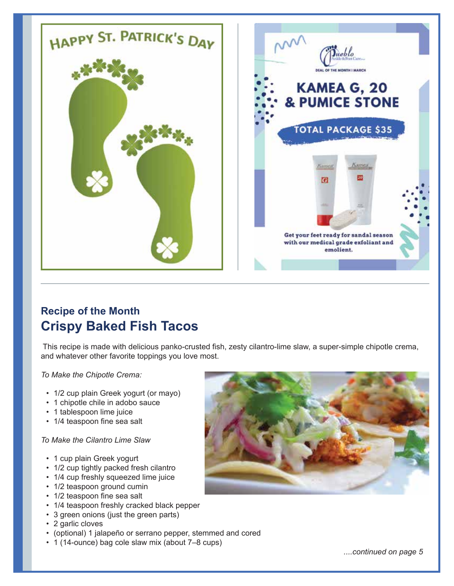

# **Recipe of the Month Crispy Baked Fish Tacos**

 This recipe is made with delicious panko-crusted fish, zesty cilantro-lime slaw, a super-simple chipotle crema, and whatever other favorite toppings you love most.

*To Make the Chipotle Crema:*

- 1/2 cup plain Greek yogurt (or mayo)
- 1 chipotle chile in adobo sauce
- 1 tablespoon lime juice
- 1/4 teaspoon fine sea salt

### *To Make the Cilantro Lime Slaw*

- 1 cup plain Greek yogurt
- 1/2 cup tightly packed fresh cilantro
- 1/4 cup freshly squeezed lime juice
- 1/2 teaspoon ground cumin
- 1/2 teaspoon fine sea salt
- 1/4 teaspoon freshly cracked black pepper
- 3 green onions (just the green parts)
- 2 garlic cloves
- (optional) 1 jalapeño or serrano pepper, stemmed and cored
- 1 (14-ounce) bag cole slaw mix (about 7–8 cups)



*....continued on page 5*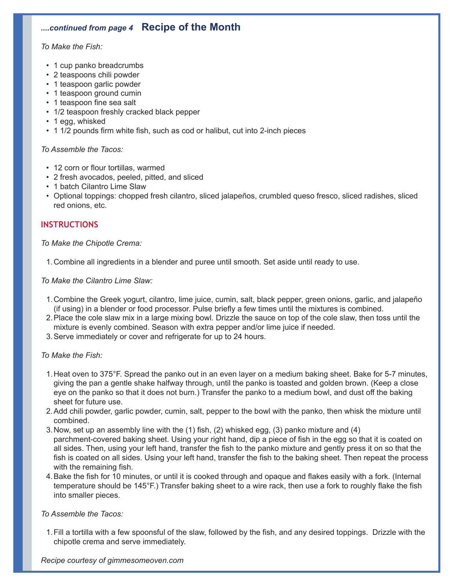## *....continued from page 4* **Recipe of the Month**

### *To Make the Fish:*

- 1 cup panko breadcrumbs
- 2 teaspoons chili powder
- 1 teaspoon garlic powder
- 1 teaspoon ground cumin
- 1 teaspoon fine sea salt
- 1/2 teaspoon freshly cracked black pepper
- 1 egg, whisked
- 1 1/2 pounds firm white fish, such as cod or halibut, cut into 2-inch pieces

### *To Assemble the Tacos:*

- 12 corn or flour tortillas, warmed
- 2 fresh avocados, peeled, pitted, and sliced
- 1 batch Cilantro Lime Slaw
- Optional toppings: chopped fresh cilantro, sliced jalapeños, crumbled queso fresco, sliced radishes, sliced red onions, etc.

### **INSTRUCTIONS**

### *To Make the Chipotle Crema:*

1. Combine all ingredients in a blender and puree until smooth. Set aside until ready to use.

### *To Make the Cilantro Lime Slaw:*

- 1. Combine the Greek yogurt, cilantro, lime juice, cumin, salt, black pepper, green onions, garlic, and jalapeño (if using) in a blender or food processor. Pulse briefly a few times until the mixtures is combined.
- 2. Place the cole slaw mix in a large mixing bowl. Drizzle the sauce on top of the cole slaw, then toss until the mixture is evenly combined. Season with extra pepper and/or lime juice if needed.
- 3. Serve immediately or cover and refrigerate for up to 24 hours.

### *To Make the Fish:*

- 1. Heat oven to 375°F. Spread the panko out in an even layer on a medium baking sheet. Bake for 5-7 minutes, giving the pan a gentle shake halfway through, until the panko is toasted and golden brown. (Keep a close eye on the panko so that it does not burn.) Transfer the panko to a medium bowl, and dust off the baking sheet for future use.
- 2. Add chili powder, garlic powder, cumin, salt, pepper to the bowl with the panko, then whisk the mixture until combined.
- 3. Now, set up an assembly line with the (1) fish, (2) whisked egg, (3) panko mixture and (4) parchment-covered baking sheet. Using your right hand, dip a piece of fish in the egg so that it is coated on all sides. Then, using your left hand, transfer the fish to the panko mixture and gently press it on so that the fish is coated on all sides. Using your left hand, transfer the fish to the baking sheet. Then repeat the process with the remaining fish.
- 4. Bake the fish for 10 minutes, or until it is cooked through and opaque and flakes easily with a fork. (Internal temperature should be 145°F.) Transfer baking sheet to a wire rack, then use a fork to roughly flake the fish into smaller pieces.

### *To Assemble the Tacos:*

 1. Fill a tortilla with a few spoonsful of the slaw, followed by the fish, and any desired toppings. Drizzle with the chipotle crema and serve immediately.

*Recipe courtesy of [gimmesomeoven.com](https://www.gimmesomeoven.com/)*